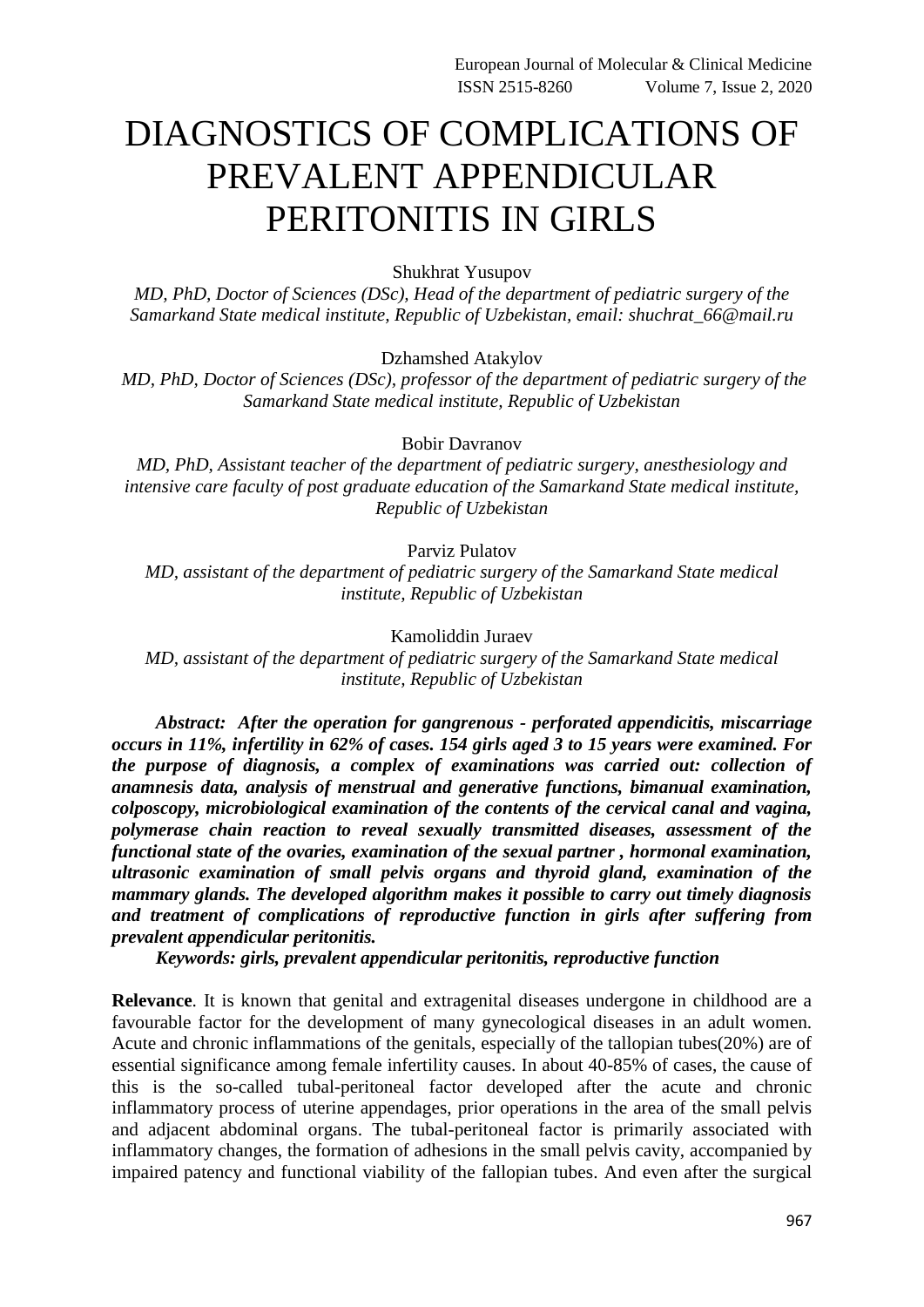## DIAGNOSTICS OF COMPLICATIONS OF PREVALENT APPENDICULAR PERITONITIS IN GIRLS

Shukhrat Yusupov

*MD, PhD, Doctor of Sciences (DSc), Head of the department of pediatric surgery of the Samarkand State medical institute, Republic of Uzbekistan, email: shuchrat\_66@mail.ru*

Dzhamshed Atakylov

*MD, PhD, Doctor of Sciences (DSc), professor of the department of pediatric surgery of the Samarkand State medical institute, Republic of Uzbekistan*

Bobir Davranov

*MD, PhD, Assistant teacher of the department of pediatric surgery, anesthesiology and intensive care faculty of post graduate education of the Samarkand State medical institute, Republic of Uzbekistan*

Parviz Pulatov

*MD, assistant of the department of pediatric surgery of the Samarkand State medical institute, Republic of Uzbekistan*

Kamoliddin Juraev

*MD, assistant of the department of pediatric surgery of the Samarkand State medical institute, Republic of Uzbekistan*

*Abstract: After the operation for gangrenous - perforated appendicitis, miscarriage occurs in 11%, infertility in 62% of cases. 154 girls aged 3 to 15 years were examined. For the purpose of diagnosis, a complex of examinations was carried out: collection of anamnesis data, analysis of menstrual and generative functions, bimanual examination, colposcopy, microbiological examination of the contents of the cervical canal and vagina, polymerase chain reaction to reveal sexually transmitted diseases, assessment of the functional state of the ovaries, examination of the sexual partner , hormonal examination, ultrasonic examination of small pelvis organs and thyroid gland, examination of the mammary glands. The developed algorithm makes it possible to carry out timely diagnosis and treatment of complications of reproductive function in girls after suffering from prevalent appendicular peritonitis.*

*Keywords: girls, prevalent appendicular peritonitis, reproductive function*

**Relevance**. It is known that genital and extragenital diseases undergone in childhood are a favourable factor for the development of many gynecological diseases in an adult women. Acute and chronic inflammations of the genitals, especially of the tallopian tubes(20%) are of essential significance among female infertility causes. In about 40-85% of cases, the cause of this is the so-called tubal-peritoneal factor developed after the acute and chronic inflammatory process of uterine appendages, prior operations in the area of the small pelvis and adjacent abdominal organs. The tubal-peritoneal factor is primarily associated with inflammatory changes, the formation of adhesions in the small pelvis cavity, accompanied by impaired patency and functional viability of the fallopian tubes. And even after the surgical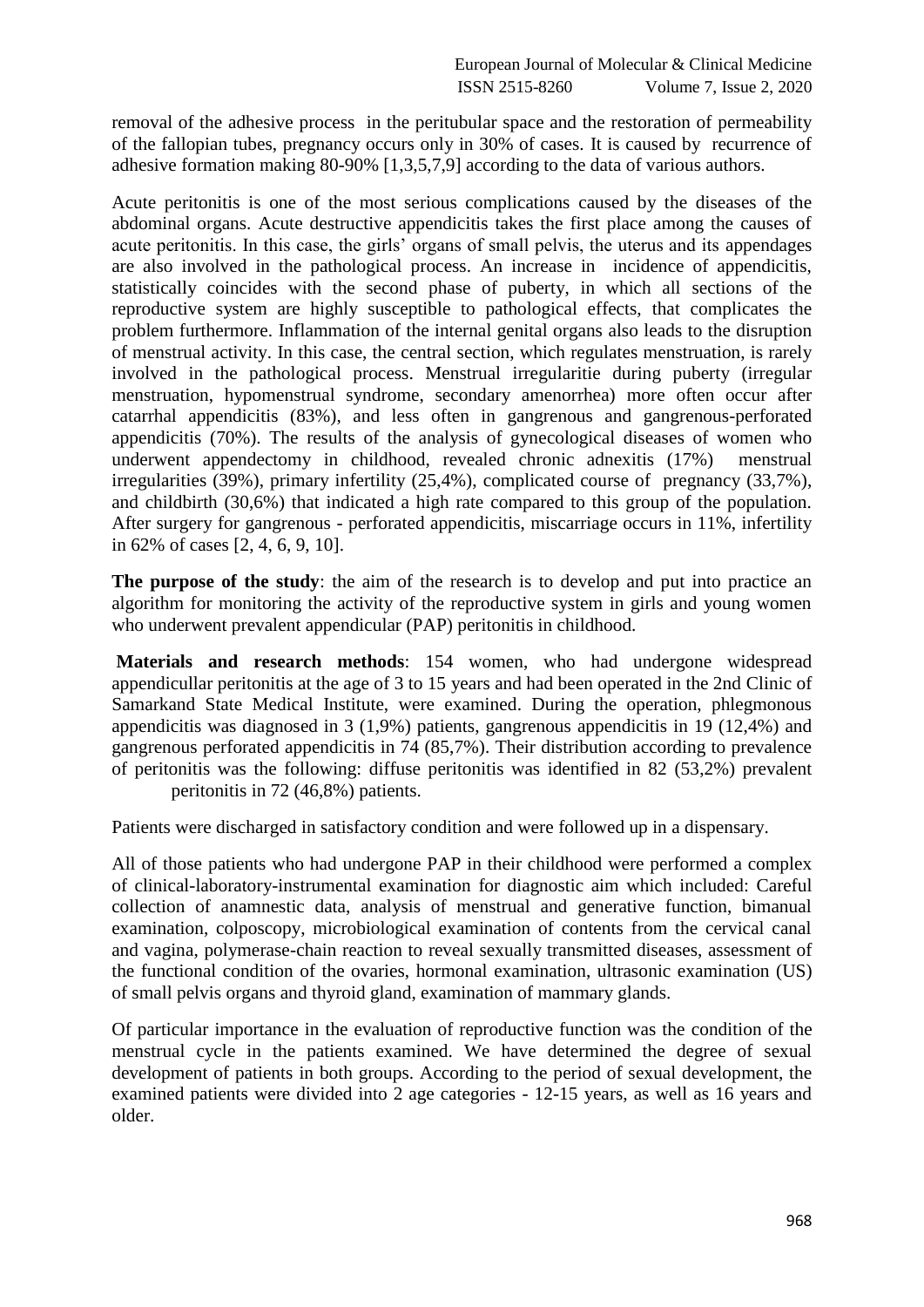removal of the adhesive process in the peritubular space and the restoration of permeability of the fallopian tubes, pregnancy occurs only in 30% of cases. It is caused by recurrence of adhesive formation making 80-90% [1,3,5,7,9] according to the data of various authors.

Acute peritonitis is one of the most serious complications caused by the diseases of the abdominal organs. Acute destructive appendicitis takes the first place among the causes of acute peritonitis. In this case, the girls' organs of small pelvis, the uterus and its appendages are also involved in the pathological process. An increase in incidence of appendicitis, statistically coincides with the second phase of puberty, in which all sections of the reproductive system are highly susceptible to pathological effects, that complicates the problem furthermore. Inflammation of the internal genital organs also leads to the disruption of menstrual activity. In this case, the central section, which regulates menstruation, is rarely involved in the pathological process. Menstrual irregularitie during puberty (irregular menstruation, hypomenstrual syndrome, secondary amenorrhea) more often occur after catarrhal appendicitis (83%), and less often in gangrenous and gangrenous-perforated appendicitis (70%). The results of the analysis of gynecological diseases of women who underwent appendectomy in childhood, revealed chronic adnexitis (17%) menstrual irregularities (39%), primary infertility (25,4%), complicated course of pregnancy (33,7%), and childbirth (30,6%) that indicated a high rate compared to this group of the population. After surgery for gangrenous - perforated appendicitis, miscarriage occurs in 11%, infertility in 62% of cases [2, 4, 6, 9, 10].

**The purpose of the study**: the aim of the research is to develop and put into practice an algorithm for monitoring the activity of the reproductive system in girls and young women who underwent prevalent appendicular (PAP) peritonitis in childhood.

**Materials and research methods**: 154 women, who had undergone widespread appendicullar peritonitis at the age of 3 to 15 years and had been operated in the 2nd Clinic of Samarkand State Medical Institute, were examined. During the operation, phlegmonous appendicitis was diagnosed in 3 (1,9%) patients, gangrenous appendicitis in 19 (12,4%) and gangrenous perforated appendicitis in 74 (85,7%). Their distribution according to prevalence of peritonitis was the following: diffuse peritonitis was identified in 82 (53,2%) prevalent peritonitis in 72 (46,8%) patients.

Patients were discharged in satisfactory condition and were followed up in a dispensary.

All of those patients who had undergone PAP in their childhood were performed a complex of clinical-laboratory-instrumental examination for diagnostic aim which included: Careful collection of anamnestic data, analysis of menstrual and generative function, bimanual examination, colposcopy, microbiological examination of contents from the cervical canal and vagina, polymerase-chain reaction to reveal sexually transmitted diseases, assessment of the functional condition of the ovaries, hormonal examination, ultrasonic examination (US) of small pelvis organs and thyroid gland, examination of mammary glands.

Of particular importance in the evaluation of reproductive function was the condition of the menstrual cycle in the patients examined. We have determined the degree of sexual development of patients in both groups. According to the period of sexual development, the examined patients were divided into 2 age categories - 12-15 years, as well as 16 years and older.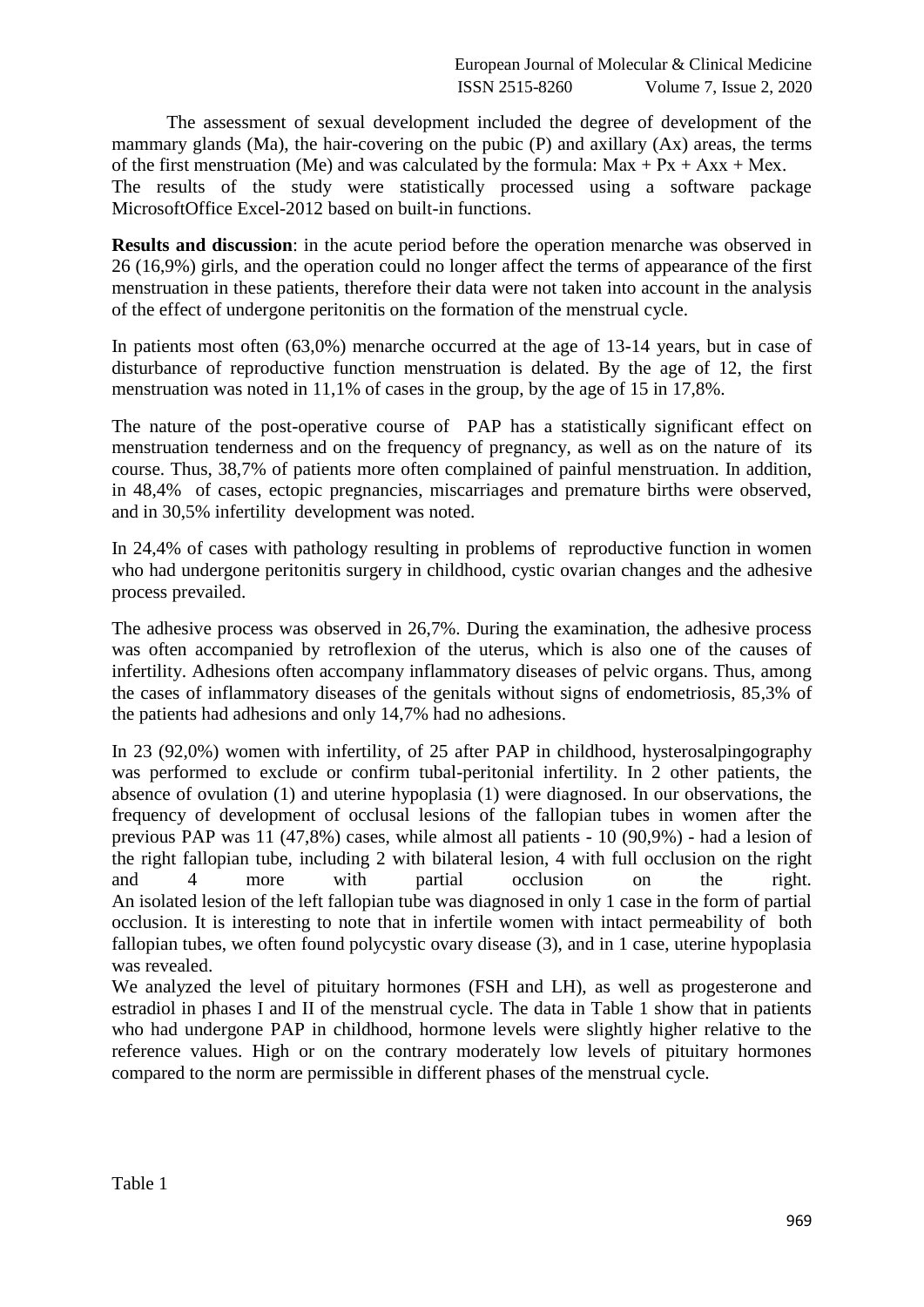The assessment of sexual development included the degree of development of the mammary glands (Ma), the hair-covering on the pubic (P) and axillary (Ax) areas, the terms of the first menstruation (Me) and was calculated by the formula:  $Max + Px + Axx + Mex$ . The results of the study were statistically processed using a software package MicrosoftOffice Excel-2012 based on built-in functions.

**Results and discussion**: in the acute period before the operation menarche was observed in 26 (16,9%) girls, and the operation could no longer affect the terms of appearance of the first menstruation in these patients, therefore their data were not taken into account in the analysis of the effect of undergone peritonitis on the formation of the menstrual cycle.

In patients most often (63,0%) menarche occurred at the age of 13-14 years, but in case of disturbance of reproductive function menstruation is delated. By the age of 12, the first menstruation was noted in 11,1% of cases in the group, by the age of 15 in 17,8%.

The nature of the post-operative course of PAP has a statistically significant effect on menstruation tenderness and on the frequency of pregnancy, as well as on the nature of its course. Thus, 38,7% of patients more often complained of painful menstruation. In addition, in 48,4% of cases, ectopic pregnancies, miscarriages and premature births were observed, and in 30,5% infertility development was noted.

In 24,4% of cases with pathology resulting in problems of reproductive function in women who had undergone peritonitis surgery in childhood, cystic ovarian changes and the adhesive process prevailed.

The adhesive process was observed in 26,7%. During the examination, the adhesive process was often accompanied by retroflexion of the uterus, which is also one of the causes of infertility. Adhesions often accompany inflammatory diseases of pelvic organs. Thus, among the cases of inflammatory diseases of the genitals without signs of endometriosis, 85,3% of the patients had adhesions and only 14,7% had no adhesions.

In 23 (92,0%) women with infertility, of 25 after PAP in childhood, hysterosalpingography was performed to exclude or confirm tubal-peritonial infertility. In 2 other patients, the absence of ovulation (1) and uterine hypoplasia (1) were diagnosed. In our observations, the frequency of development of occlusal lesions of the fallopian tubes in women after the previous PAP was 11 (47,8%) cases, while almost all patients - 10 (90,9%) - had a lesion of the right fallopian tube, including 2 with bilateral lesion, 4 with full occlusion on the right and 4 more with partial occlusion on the right. An isolated lesion of the left fallopian tube was diagnosed in only 1 case in the form of partial occlusion. It is interesting to note that in infertile women with intact permeability of both fallopian tubes, we often found polycystic ovary disease (3), and in 1 case, uterine hypoplasia was revealed.

We analyzed the level of pituitary hormones (FSH and LH), as well as progesterone and estradiol in phases I and II of the menstrual cycle. The data in Table 1 show that in patients who had undergone PAP in childhood, hormone levels were slightly higher relative to the reference values. High or on the contrary moderately low levels of pituitary hormones compared to the norm are permissible in different phases of the menstrual cycle.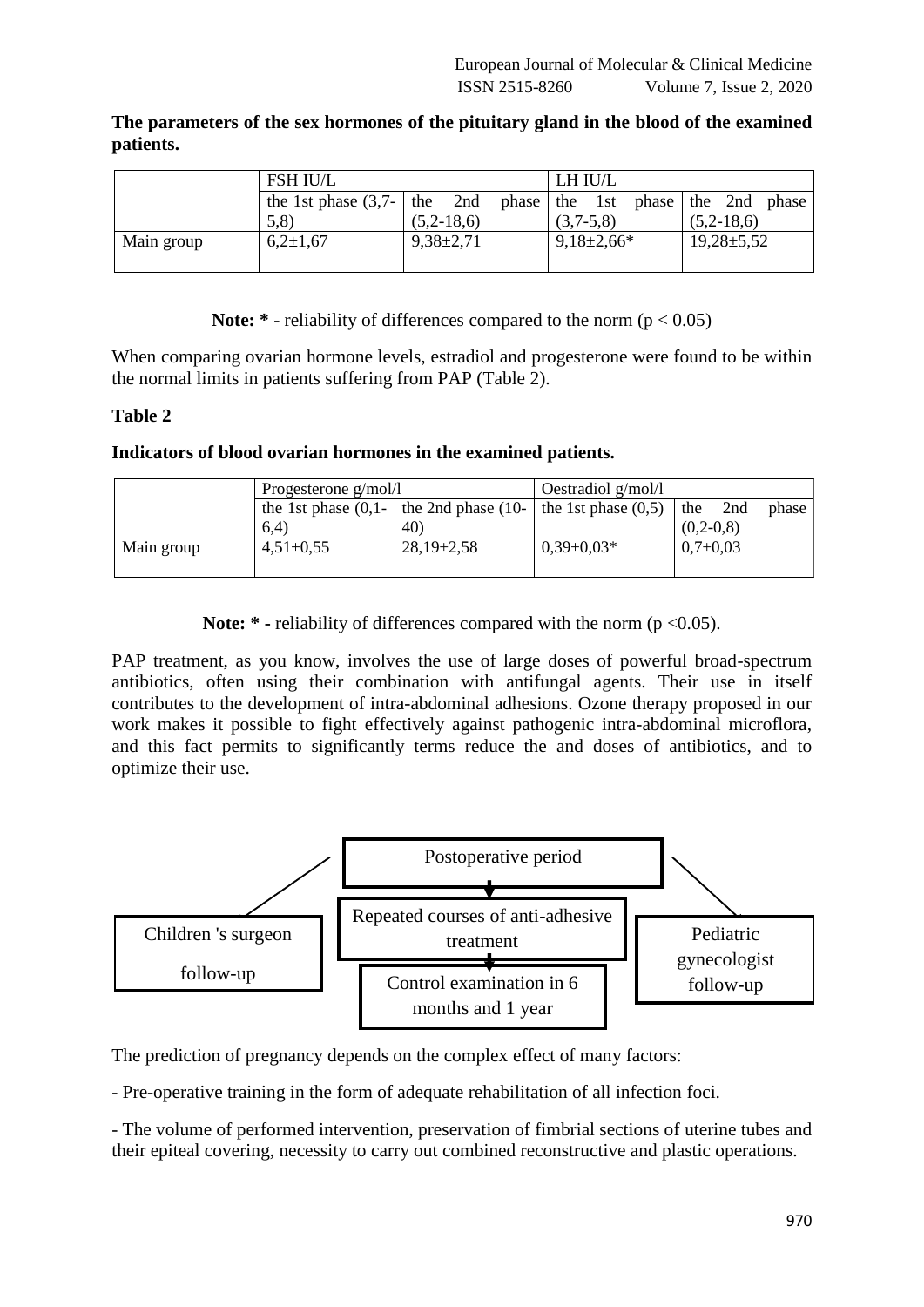**The parameters of the sex hormones of the pituitary gland in the blood of the examined patients.**

|            | <b>FSH IU/L</b>                 |               | LH IU/L                           |                  |  |
|------------|---------------------------------|---------------|-----------------------------------|------------------|--|
|            | the 1st phase $(3,7)$ - the 2nd |               | phase the 1st phase the 2nd phase |                  |  |
|            | 5,8                             | $(5,2-18,6)$  | $(3,7-5,8)$                       | $(5,2-18,6)$     |  |
| Main group | $6,2{\pm}1,67$                  | $9,38\pm2,71$ | $9,18\pm2,66*$                    | $19,28 \pm 5,52$ |  |
|            |                                 |               |                                   |                  |  |

**Note:**  $*$  - reliability of differences compared to the norm ( $p < 0.05$ )

When comparing ovarian hormone levels, estradiol and progesterone were found to be within the normal limits in patients suffering from PAP (Table 2).

## **Table 2**

## **Indicators of blood ovarian hormones in the examined patients.**

|            | Progesterone $g/mol/l$ |                                                                  | Oestradiol $g/mol/l$ |                |       |
|------------|------------------------|------------------------------------------------------------------|----------------------|----------------|-------|
|            |                        | the 1st phase $(0,1)$ the 2nd phase $(10)$ the 1st phase $(0,5)$ |                      | the<br>2nd     | phase |
|            | (6.4)                  | 40)                                                              |                      | $(0, 2-0, 8)$  |       |
| Main group | $4,51\pm0.55$          | $28,19\pm 2,58$                                                  | $0.39 \pm 0.03*$     | $0.7 \pm 0.03$ |       |
|            |                        |                                                                  |                      |                |       |

**Note:** \* - reliability of differences compared with the norm (p <0.05).

PAP treatment, as you know, involves the use of large doses of powerful broad-spectrum antibiotics, often using their combination with antifungal agents. Their use in itself contributes to the development of intra-abdominal adhesions. Ozone therapy proposed in our work makes it possible to fight effectively against pathogenic intra-abdominal microflora, and this fact permits to significantly terms reduce the and doses of antibiotics, and to optimize their use.



The prediction of pregnancy depends on the complex effect of many factors:

- Pre-operative training in the form of adequate rehabilitation of all infection foci.

- The volume of performed intervention, preservation of fimbrial sections of uterine tubes and their epiteal covering, necessity to carry out combined reconstructive and plastic operations.